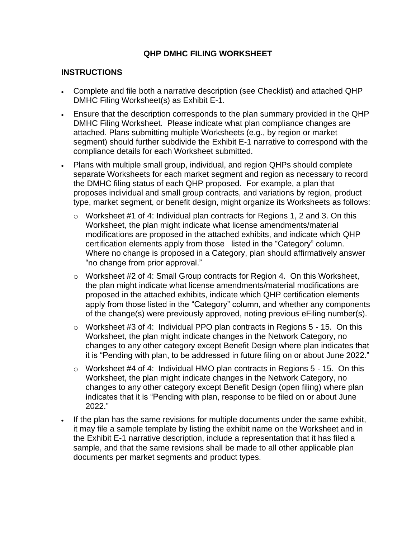## **QHP DMHC FILING WORKSHEET**

## **INSTRUCTIONS**

- Complete and file both a narrative description (see Checklist) and attached QHP DMHC Filing Worksheet(s) as Exhibit E-1.
- Ensure that the description corresponds to the plan summary provided in the QHP DMHC Filing Worksheet. Please indicate what plan compliance changes are attached. Plans submitting multiple Worksheets (e.g., by region or market segment) should further subdivide the Exhibit E-1 narrative to correspond with the compliance details for each Worksheet submitted.
- Plans with multiple small group, individual, and region QHPs should complete separate Worksheets for each market segment and region as necessary to record the DMHC filing status of each QHP proposed. For example, a plan that proposes individual and small group contracts, and variations by region, product type, market segment, or benefit design, might organize its Worksheets as follows:
	- $\circ$  Worksheet #1 of 4: Individual plan contracts for Regions 1, 2 and 3. On this Worksheet, the plan might indicate what license amendments/material modifications are proposed in the attached exhibits, and indicate which QHP certification elements apply from those listed in the "Category" column. Where no change is proposed in a Category, plan should affirmatively answer "no change from prior approval."
	- o Worksheet #2 of 4: Small Group contracts for Region 4. On this Worksheet, the plan might indicate what license amendments/material modifications are proposed in the attached exhibits, indicate which QHP certification elements apply from those listed in the "Category" column, and whether any components of the change(s) were previously approved, noting previous eFiling number(s).
	- $\circ$  Worksheet #3 of 4: Individual PPO plan contracts in Regions 5 15. On this Worksheet, the plan might indicate changes in the Network Category, no changes to any other category except Benefit Design where plan indicates that it is "Pending with plan, to be addressed in future filing on or about June 2022."
	- o Worksheet #4 of 4: Individual HMO plan contracts in Regions 5 15. On this Worksheet, the plan might indicate changes in the Network Category, no changes to any other category except Benefit Design (open filing) where plan indicates that it is "Pending with plan, response to be filed on or about June 2022."
- If the plan has the same revisions for multiple documents under the same exhibit, it may file a sample template by listing the exhibit name on the Worksheet and in the Exhibit E-1 narrative description, include a representation that it has filed a sample, and that the same revisions shall be made to all other applicable plan documents per market segments and product types.